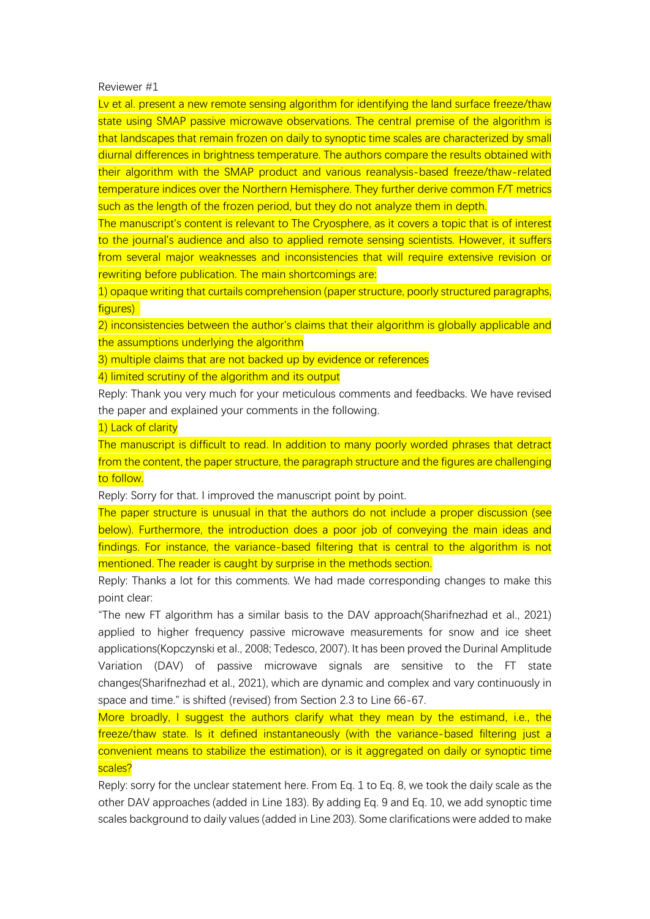Reviewer #1

Lv et al. present a new remote sensing algorithm for identifying the land surface freeze/thaw state using SMAP passive microwave observations. The central premise of the algorithm is that landscapes that remain frozen on daily to synoptic time scales are characterized by small diurnal differences in brightness temperature. The authors compare the results obtained with their algorithm with the SMAP product and various reanalysis-based freeze/thaw-related temperature indices over the Northern Hemisphere. They further derive common F/T metrics such as the length of the frozen period, but they do not analyze them in depth.

The manuscript's content is relevant to The Cryosphere, as it covers a topic that is of interest to the journal's audience and also to applied remote sensing scientists. However, it suffers from several major weaknesses and inconsistencies that will require extensive revision or rewriting before publication. The main shortcomings are:

1) opaque writing that curtails comprehension (paper structure, poorly structured paragraphs, figures)

2) inconsistencies between the author's claims that their algorithm is globally applicable and the assumptions underlying the algorithm

3) multiple claims that are not backed up by evidence or references

4) limited scrutiny of the algorithm and its output

Reply: Thank you very much for your meticulous comments and feedbacks. We have revised the paper and explained your comments in the following.

1) Lack of clarity

The manuscript is difficult to read. In addition to many poorly worded phrases that detract from the content, the paper structure, the paragraph structure and the figures are challenging to follow.

Reply: Sorry for that. I improved the manuscript point by point.

The paper structure is unusual in that the authors do not include a proper discussion (see below). Furthermore, the introduction does a poor job of conveying the main ideas and findings. For instance, the variance-based filtering that is central to the algorithm is not mentioned. The reader is caught by surprise in the methods section.

Reply: Thanks a lot for this comments. We had made corresponding changes to make this point clear:

"The new FT algorithm has a similar basis to the DAV approach(Sharifnezhad et al., 2021) applied to higher frequency passive microwave measurements for snow and ice sheet applications(Kopczynski et al., 2008; Tedesco, 2007). It has been proved the Durinal Amplitude Variation (DAV) of passive microwave signals are sensitive to the FT state changes(Sharifnezhad et al., 2021), which are dynamic and complex and vary continuously in space and time." is shifted (revised) from Section 2.3 to Line 66-67.

More broadly, I suggest the authors clarify what they mean by the estimand, i.e., the freeze/thaw state. Is it defined instantaneously (with the variance-based filtering just a convenient means to stabilize the estimation), or is it aggregated on daily or synoptic time scales?

Reply: sorry for the unclear statement here. From Eq. 1 to Eq. 8, we took the daily scale as the other DAV approaches (added in Line 183). By adding Eq. 9 and Eq. 10, we add synoptic time scales background to daily values (added in Line 203). Some clarifications were added to make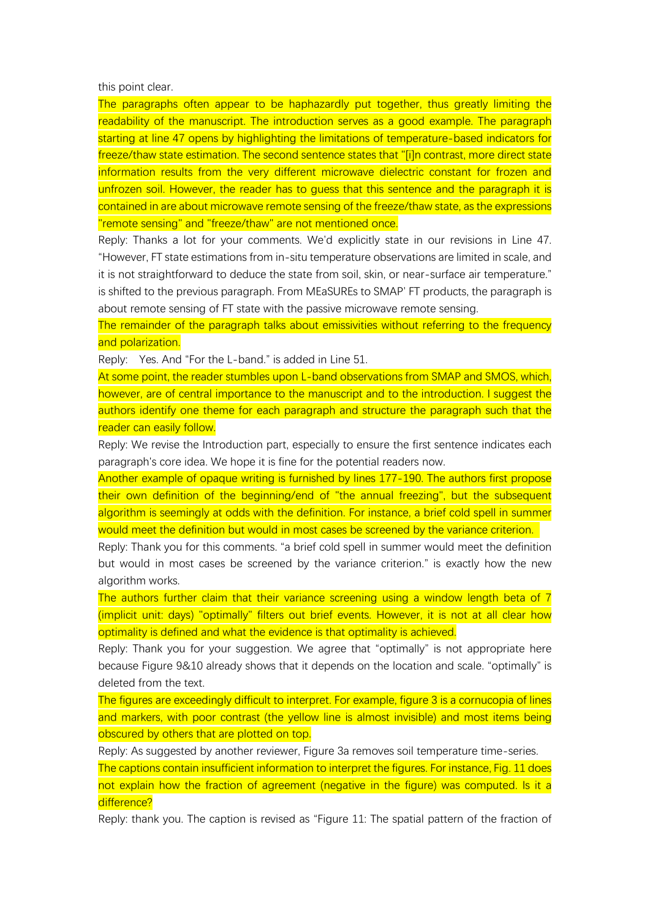this point clear.

The paragraphs often appear to be haphazardly put together, thus greatly limiting the readability of the manuscript. The introduction serves as a good example. The paragraph starting at line 47 opens by highlighting the limitations of temperature-based indicators for freeze/thaw state estimation. The second sentence states that "[i]n contrast, more direct state information results from the very different microwave dielectric constant for frozen and unfrozen soil. However, the reader has to guess that this sentence and the paragraph it is contained in are about microwave remote sensing of the freeze/thaw state, as the expressions "remote sensing" and "freeze/thaw" are not mentioned once.

Reply: Thanks a lot for your comments. We'd explicitly state in our revisions in Line 47. "However, FT state estimations from in-situ temperature observations are limited in scale, and it is not straightforward to deduce the state from soil, skin, or near-surface air temperature." is shifted to the previous paragraph. From MEaSUREs to SMAP' FT products, the paragraph is about remote sensing of FT state with the passive microwave remote sensing.

The remainder of the paragraph talks about emissivities without referring to the frequency and polarization.

Reply: Yes. And "For the L-band." is added in Line 51.

At some point, the reader stumbles upon L-band observations from SMAP and SMOS, which, however, are of central importance to the manuscript and to the introduction. I suggest the authors identify one theme for each paragraph and structure the paragraph such that the reader can easily follow.

Reply: We revise the Introduction part, especially to ensure the first sentence indicates each paragraph's core idea. We hope it is fine for the potential readers now.

Another example of opaque writing is furnished by lines 177-190. The authors first propose their own definition of the beginning/end of "the annual freezing", but the subsequent algorithm is seemingly at odds with the definition. For instance, a brief cold spell in summer would meet the definition but would in most cases be screened by the variance criterion.

Reply: Thank you for this comments. "a brief cold spell in summer would meet the definition but would in most cases be screened by the variance criterion." is exactly how the new algorithm works.

The authors further claim that their variance screening using a window length beta of 7 (implicit unit: days) "optimally" filters out brief events. However, it is not at all clear how optimality is defined and what the evidence is that optimality is achieved.

Reply: Thank you for your suggestion. We agree that "optimally" is not appropriate here because Figure 9&10 already shows that it depends on the location and scale. "optimally" is deleted from the text.

The figures are exceedingly difficult to interpret. For example, figure 3 is a cornucopia of lines and markers, with poor contrast (the yellow line is almost invisible) and most items being obscured by others that are plotted on top.

Reply: As suggested by another reviewer, Figure 3a removes soil temperature time-series. The captions contain insufficient information to interpret the figures. For instance, Fig. 11 does not explain how the fraction of agreement (negative in the figure) was computed. Is it a difference?

Reply: thank you. The caption is revised as "Figure 11: The spatial pattern of the fraction of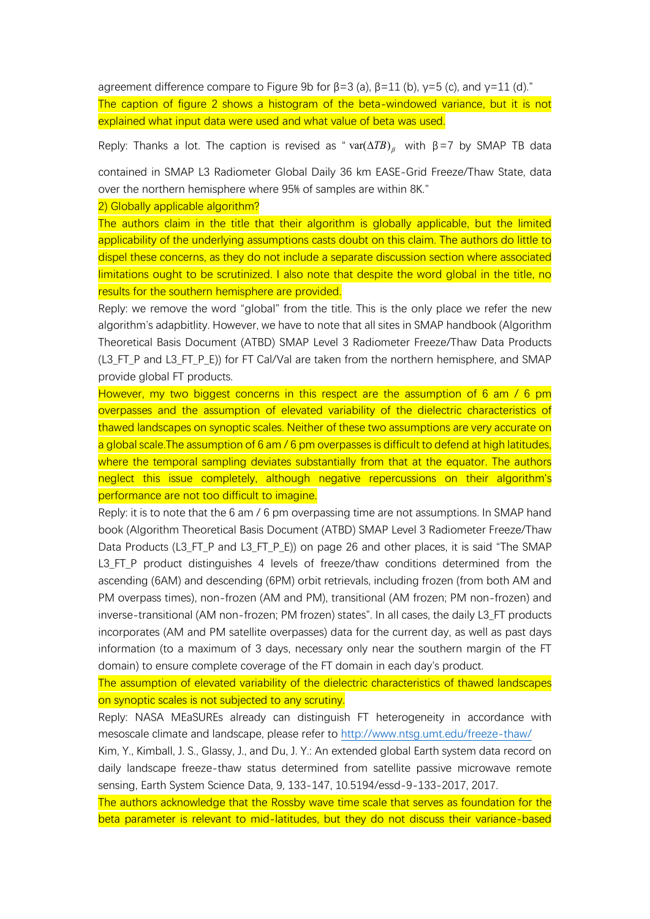agreement difference compare to Figure 9b for  $\beta = 3$  (a),  $\beta = 11$  (b),  $\gamma = 5$  (c), and  $\gamma = 11$  (d)." The caption of figure 2 shows a histogram of the beta-windowed variance, but it is not explained what input data were used and what value of beta was used.

Reply: Thanks a lot. The caption is revised as "  $var(\triangle T B)_{\beta}$  with  $\beta = 7$  by SMAP TB data

contained in SMAP L3 Radiometer Global Daily 36 km EASE-Grid Freeze/Thaw State, data over the northern hemisphere where 95% of samples are within 8K."

2) Globally applicable algorithm?

The authors claim in the title that their algorithm is globally applicable, but the limited applicability of the underlying assumptions casts doubt on this claim. The authors do little to dispel these concerns, as they do not include a separate discussion section where associated limitations ought to be scrutinized. I also note that despite the word global in the title, no results for the southern hemisphere are provided.

Reply: we remove the word "global" from the title. This is the only place we refer the new algorithm's adapbitlity. However, we have to note that all sites in SMAP handbook (Algorithm Theoretical Basis Document (ATBD) SMAP Level 3 Radiometer Freeze/Thaw Data Products (L3\_FT\_P and L3\_FT\_P\_E)) for FT Cal/Val are taken from the northern hemisphere, and SMAP provide global FT products.

However, my two biggest concerns in this respect are the assumption of 6 am / 6 pm overpasses and the assumption of elevated variability of the dielectric characteristics of thawed landscapes on synoptic scales. Neither of these two assumptions are very accurate on a global scale. The assumption of 6 am / 6 pm overpasses is difficult to defend at high latitudes, where the temporal sampling deviates substantially from that at the equator. The authors neglect this issue completely, although negative repercussions on their algorithm's performance are not too difficult to imagine.

Reply: it is to note that the 6 am / 6 pm overpassing time are not assumptions. In SMAP hand book (Algorithm Theoretical Basis Document (ATBD) SMAP Level 3 Radiometer Freeze/Thaw Data Products (L3\_FT\_P and L3\_FT\_P\_E)) on page 26 and other places, it is said "The SMAP L3\_FT\_P product distinguishes 4 levels of freeze/thaw conditions determined from the ascending (6AM) and descending (6PM) orbit retrievals, including frozen (from both AM and PM overpass times), non-frozen (AM and PM), transitional (AM frozen; PM non-frozen) and inverse-transitional (AM non-frozen; PM frozen) states". In all cases, the daily L3\_FT products incorporates (AM and PM satellite overpasses) data for the current day, as well as past days information (to a maximum of 3 days, necessary only near the southern margin of the FT domain) to ensure complete coverage of the FT domain in each day's product.

The assumption of elevated variability of the dielectric characteristics of thawed landscapes on synoptic scales is not subjected to any scrutiny.

Reply: NASA MEaSUREs already can distinguish FT heterogeneity in accordance with mesoscale climate and landscape, please refer to<http://www.ntsg.umt.edu/freeze-thaw/>

Kim, Y., Kimball, J. S., Glassy, J., and Du, J. Y.: An extended global Earth system data record on daily landscape freeze-thaw status determined from satellite passive microwave remote sensing, Earth System Science Data, 9, 133-147, 10.5194/essd-9-133-2017, 2017.

The authors acknowledge that the Rossby wave time scale that serves as foundation for the beta parameter is relevant to mid-latitudes, but they do not discuss their variance-based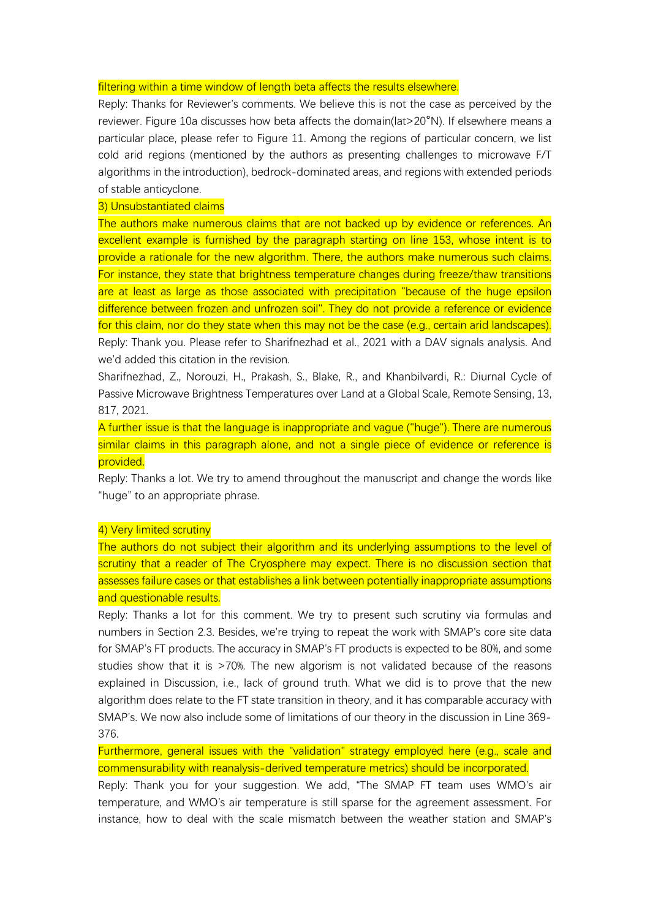## filtering within a time window of length beta affects the results elsewhere.

Reply: Thanks for Reviewer's comments. We believe this is not the case as perceived by the reviewer. Figure 10a discusses how beta affects the domain(lat>20°N). If elsewhere means a particular place, please refer to Figure 11. Among the regions of particular concern, we list cold arid regions (mentioned by the authors as presenting challenges to microwave F/T algorithms in the introduction), bedrock-dominated areas, and regions with extended periods of stable anticyclone.

## 3) Unsubstantiated claims

The authors make numerous claims that are not backed up by evidence or references. An excellent example is furnished by the paragraph starting on line 153, whose intent is to provide a rationale for the new algorithm. There, the authors make numerous such claims. For instance, they state that brightness temperature changes during freeze/thaw transitions are at least as large as those associated with precipitation "because of the huge epsilon difference between frozen and unfrozen soil". They do not provide a reference or evidence for this claim, nor do they state when this may not be the case (e.g., certain arid landscapes). Reply: Thank you. Please refer to Sharifnezhad et al., 2021 with a DAV signals analysis. And we'd added this citation in the revision.

Sharifnezhad, Z., Norouzi, H., Prakash, S., Blake, R., and Khanbilvardi, R.: Diurnal Cycle of Passive Microwave Brightness Temperatures over Land at a Global Scale, Remote Sensing, 13, 817, 2021.

A further issue is that the language is inappropriate and vague ("huge"). There are numerous similar claims in this paragraph alone, and not a single piece of evidence or reference is provided.

Reply: Thanks a lot. We try to amend throughout the manuscript and change the words like "huge" to an appropriate phrase.

## 4) Very limited scrutiny

The authors do not subject their algorithm and its underlying assumptions to the level of scrutiny that a reader of The Cryosphere may expect. There is no discussion section that assesses failure cases or that establishes a link between potentially inappropriate assumptions and questionable results.

Reply: Thanks a lot for this comment. We try to present such scrutiny via formulas and numbers in Section 2.3. Besides, we're trying to repeat the work with SMAP's core site data for SMAP's FT products. The accuracy in SMAP's FT products is expected to be 80%, and some studies show that it is >70%. The new algorism is not validated because of the reasons explained in Discussion, i.e., lack of ground truth. What we did is to prove that the new algorithm does relate to the FT state transition in theory, and it has comparable accuracy with SMAP's. We now also include some of limitations of our theory in the discussion in Line 369- 376.

Furthermore, general issues with the "validation" strategy employed here (e.g., scale and commensurability with reanalysis-derived temperature metrics) should be incorporated.

Reply: Thank you for your suggestion. We add, "The SMAP FT team uses WMO's air temperature, and WMO's air temperature is still sparse for the agreement assessment. For instance, how to deal with the scale mismatch between the weather station and SMAP's